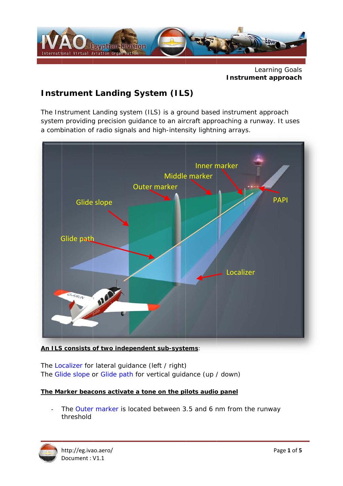

**Learning Goals** Instrument approach

# **Instrument Landing System (ILS)**

The Instrument Landing system (ILS) is a ground based instrument approach system providing precision guidance to an aircraft approaching a runway. It uses a combination of radio signals and high-intensity lightning arrays.



An ILS consists of two independent sub-systems:

The Localizer for lateral guidance (left / right) The Glide slope or Glide path for vertical guidance (up / down)

#### The Marker beacons activate a tone on the pilots audio panel

The Outer marker is located between 3.5 and 6 nm from the runway threshold

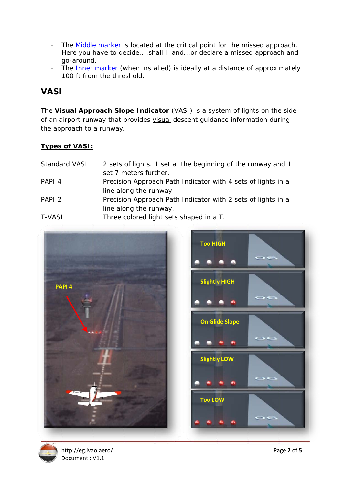- The Middle marker is located at the critical point for the missed approach.  $\mathbb{Z}$ Here you have to decide....shall I land...or declare a missed approach and go-around.
- The Inner marker (when installed) is ideally at a distance of approximately  $\overline{a}$ 100 ft from the threshold.

### **VASI**

The Visual Approach Slope Indicator (VASI) is a system of lights on the side of an airport runway that provides visual descent guidance information during the approach to a runway.

### **Types of VASI:**

| <b>Standard VASI</b> | 2 sets of lights. 1 set at the beginning of the runway and 1<br>set 7 meters further. |
|----------------------|---------------------------------------------------------------------------------------|
| PAPI <sub>4</sub>    | Precision Approach Path Indicator with 4 sets of lights in a                          |
|                      | line along the runway                                                                 |
| PAPI <sub>2</sub>    | Precision Approach Path Indicator with 2 sets of lights in a                          |
|                      | line along the runway.                                                                |
| <b>T-VASI</b>        | Three colored light sets shaped in a T.                                               |
|                      |                                                                                       |





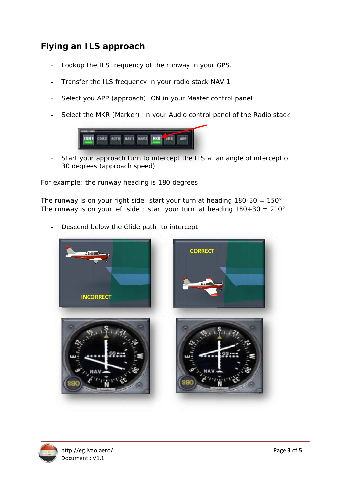## **Flying an ILS approach**

- Lookup the ILS frequency of the runway in your GPS.  $\overline{a}$
- Transfer the ILS frequency in your radio stack NAV 1  $\mathbb{L}$
- Select you APP (approach) ON in your Master control panel  $\mathbb{L}^{\mathbb{N}}$
- Select the MKR (Marker) in your Audio control panel of the Radio stack  $\overline{a}$



Start your approach turn to intercept the ILS at an angle of intercept of 30 degrees (approach speed)

For example: the runway heading is 180 degrees

The runway is on your right side: start your turn at heading  $180-30 = 150^\circ$ The runway is on your left side : start your turn at heading  $180+30 = 210^\circ$ 



Descend below the Glide path to intercept  $\overline{a}$ 

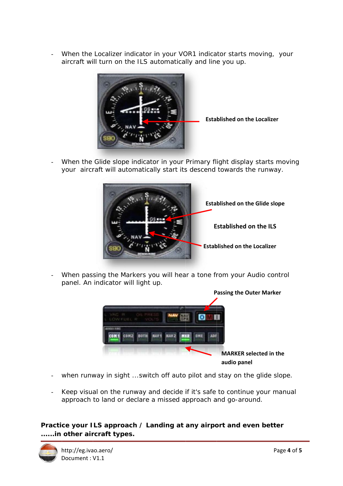When the Localizer indicator in your VOR1 indicator starts moving, your  $\overline{a}$ aircraft will turn on the ILS automatically and line you up.



**Established on the Localizer** 

When the Glide slope indicator in your Primary flight display starts moving your aircraft will automatically start its descend towards the runway.



When passing the Markers you will hear a tone from your Audio control panel. An indicator will light up.



- when runway in sight ... switch off auto pilot and stay on the glide slope.
- Keep visual on the runway and decide if it's safe to continue your manual  $\omega_{\rm{max}}$ approach to land or declare a missed approach and go-around.

#### Practice your ILS approach / Landing at any airport and even better ......in other aircraft types.